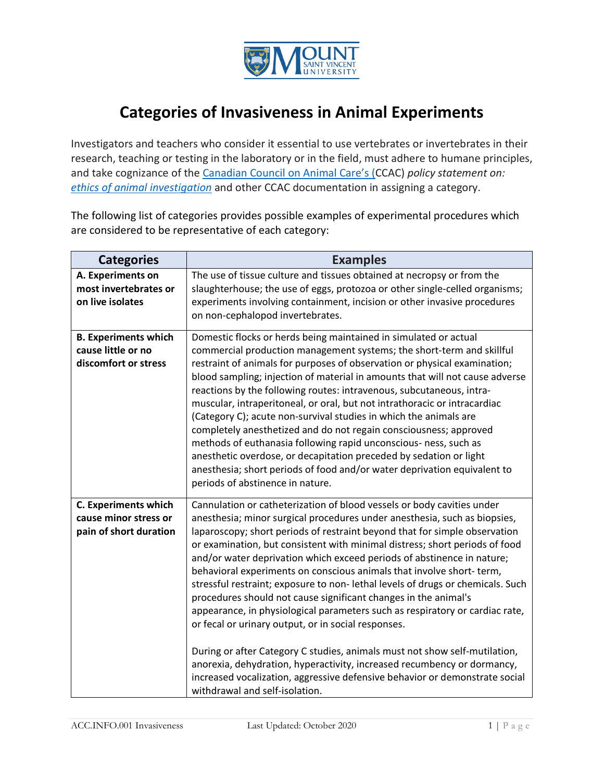

## **Categories of Invasiveness in Animal Experiments**

Investigators and teachers who consider it essential to use vertebrates or invertebrates in their research, teaching or testing in the laboratory or in the field, must adhere to humane principles, and take cognizance of the [Canadian Council on Animal Care's \(C](https://www.ccac.ca/)CAC) *policy statement on: [ethics of animal investigation](https://www.ccac.ca/Documents/Standards/Policies/Ethics_of_animal_investigation.pdf)* and other CCAC documentation in assigning a category.

The following list of categories provides possible examples of experimental procedures which are considered to be representative of each category:

| <b>Categories</b>                                                              | <b>Examples</b>                                                                                                                                                                                                                                                                                                                                                                                                                                                                                                                                                                                                                                                                                                                                                                                                                                                                                                                                                                                                                           |
|--------------------------------------------------------------------------------|-------------------------------------------------------------------------------------------------------------------------------------------------------------------------------------------------------------------------------------------------------------------------------------------------------------------------------------------------------------------------------------------------------------------------------------------------------------------------------------------------------------------------------------------------------------------------------------------------------------------------------------------------------------------------------------------------------------------------------------------------------------------------------------------------------------------------------------------------------------------------------------------------------------------------------------------------------------------------------------------------------------------------------------------|
| A. Experiments on<br>most invertebrates or<br>on live isolates                 | The use of tissue culture and tissues obtained at necropsy or from the<br>slaughterhouse; the use of eggs, protozoa or other single-celled organisms;<br>experiments involving containment, incision or other invasive procedures<br>on non-cephalopod invertebrates.                                                                                                                                                                                                                                                                                                                                                                                                                                                                                                                                                                                                                                                                                                                                                                     |
| <b>B. Experiments which</b><br>cause little or no<br>discomfort or stress      | Domestic flocks or herds being maintained in simulated or actual<br>commercial production management systems; the short-term and skillful<br>restraint of animals for purposes of observation or physical examination;<br>blood sampling; injection of material in amounts that will not cause adverse<br>reactions by the following routes: intravenous, subcutaneous, intra-<br>muscular, intraperitoneal, or oral, but not intrathoracic or intracardiac<br>(Category C); acute non-survival studies in which the animals are<br>completely anesthetized and do not regain consciousness; approved<br>methods of euthanasia following rapid unconscious- ness, such as<br>anesthetic overdose, or decapitation preceded by sedation or light<br>anesthesia; short periods of food and/or water deprivation equivalent to<br>periods of abstinence in nature.                                                                                                                                                                           |
| <b>C. Experiments which</b><br>cause minor stress or<br>pain of short duration | Cannulation or catheterization of blood vessels or body cavities under<br>anesthesia; minor surgical procedures under anesthesia, such as biopsies,<br>laparoscopy; short periods of restraint beyond that for simple observation<br>or examination, but consistent with minimal distress; short periods of food<br>and/or water deprivation which exceed periods of abstinence in nature;<br>behavioral experiments on conscious animals that involve short-term,<br>stressful restraint; exposure to non- lethal levels of drugs or chemicals. Such<br>procedures should not cause significant changes in the animal's<br>appearance, in physiological parameters such as respiratory or cardiac rate,<br>or fecal or urinary output, or in social responses.<br>During or after Category C studies, animals must not show self-mutilation,<br>anorexia, dehydration, hyperactivity, increased recumbency or dormancy,<br>increased vocalization, aggressive defensive behavior or demonstrate social<br>withdrawal and self-isolation. |